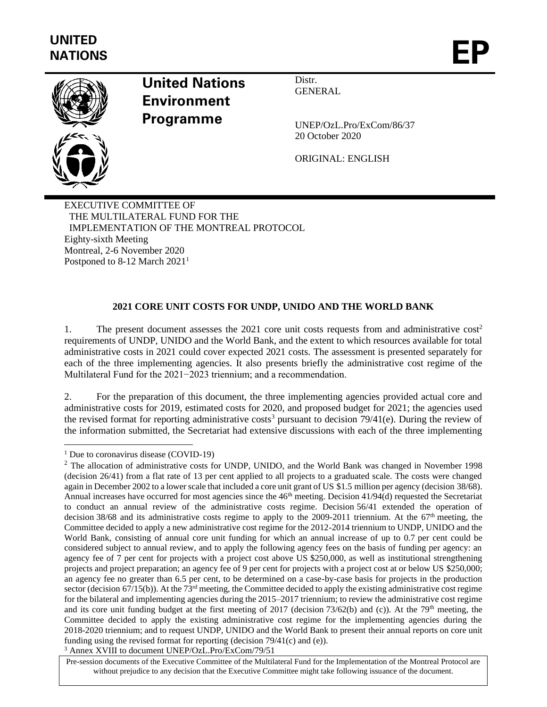

# **United Nations Environment Programme**

Distr. **GENERAL** 

UNEP/OzL.Pro/ExCom/86/37 20 October 2020

ORIGINAL: ENGLISH

EXECUTIVE COMMITTEE OF THE MULTILATERAL FUND FOR THE IMPLEMENTATION OF THE MONTREAL PROTOCOL Eighty-sixth Meeting Montreal, 2-6 November 2020 Postponed to 8-12 March 2021<sup>1</sup>

## **2021 CORE UNIT COSTS FOR UNDP, UNIDO AND THE WORLD BANK**

1. The present document assesses the 2021 core unit costs requests from and administrative cost<sup>2</sup> requirements of UNDP, UNIDO and the World Bank, and the extent to which resources available for total administrative costs in 2021 could cover expected 2021 costs. The assessment is presented separately for each of the three implementing agencies. It also presents briefly the administrative cost regime of the Multilateral Fund for the 2021−2023 triennium; and a recommendation.

2. For the preparation of this document, the three implementing agencies provided actual core and administrative costs for 2019, estimated costs for 2020, and proposed budget for 2021; the agencies used the revised format for reporting administrative costs<sup>3</sup> pursuant to decision  $79/41(e)$ . During the review of the information submitted, the Secretariat had extensive discussions with each of the three implementing

<sup>&</sup>lt;sup>1</sup> Due to coronavirus disease (COVID-19)

<sup>&</sup>lt;sup>2</sup> The allocation of administrative costs for UNDP, UNIDO, and the World Bank was changed in November 1998 (decision 26/41) from a flat rate of 13 per cent applied to all projects to a graduated scale. The costs were changed again in December 2002 to a lower scale that included a core unit grant of US \$1.5 million per agency (decision 38/68). Annual increases have occurred for most agencies since the 46<sup>th</sup> meeting. Decision 41/94(d) requested the Secretariat to conduct an annual review of the administrative costs regime. Decision 56/41 extended the operation of decision 38/68 and its administrative costs regime to apply to the 2009-2011 triennium. At the  $67<sup>th</sup>$  meeting, the Committee decided to apply a new administrative cost regime for the 2012-2014 triennium to UNDP, UNIDO and the World Bank, consisting of annual core unit funding for which an annual increase of up to 0.7 per cent could be considered subject to annual review, and to apply the following agency fees on the basis of funding per agency: an agency fee of 7 per cent for projects with a project cost above US \$250,000, as well as institutional strengthening projects and project preparation; an agency fee of 9 per cent for projects with a project cost at or below US \$250,000; an agency fee no greater than 6.5 per cent, to be determined on a case-by-case basis for projects in the production sector (decision  $67/15(b)$ ). At the  $73<sup>rd</sup>$  meeting, the Committee decided to apply the existing administrative cost regime for the bilateral and implementing agencies during the 2015–2017 triennium; to review the administrative cost regime and its core unit funding budget at the first meeting of 2017 (decision  $73/62(b)$  and (c)). At the 79<sup>th</sup> meeting, the Committee decided to apply the existing administrative cost regime for the implementing agencies during the 2018-2020 triennium; and to request UNDP, UNIDO and the World Bank to present their annual reports on core unit funding using the revised format for reporting (decision 79/41(c) and (e)). <sup>3</sup> Annex XVIII to document UNEP/OzL.Pro/ExCom/79/51

Pre-session documents of the Executive Committee of the Multilateral Fund for the Implementation of the Montreal Protocol are without prejudice to any decision that the Executive Committee might take following issuance of the document.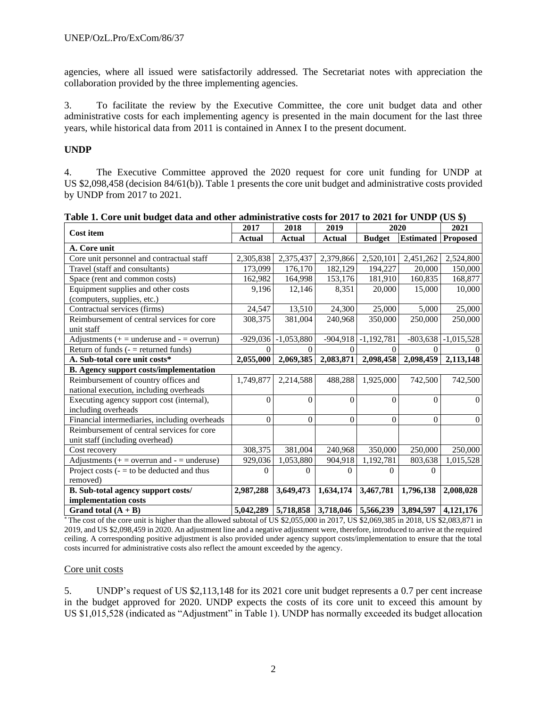agencies, where all issued were satisfactorily addressed. The Secretariat notes with appreciation the collaboration provided by the three implementing agencies.

3. To facilitate the review by the Executive Committee, the core unit budget data and other administrative costs for each implementing agency is presented in the main document for the last three years, while historical data from 2011 is contained in Annex I to the present document.

## **UNDP**

4. The Executive Committee approved the 2020 request for core unit funding for UNDP at US \$2,098,458 (decision 84/61(b)). Table 1 presents the core unit budget and administrative costs provided by UNDP from 2017 to 2021.

| <b>Cost item</b>                                | 2017          | 2018                    | 2019          | 2020          |                  | 2021         |
|-------------------------------------------------|---------------|-------------------------|---------------|---------------|------------------|--------------|
|                                                 | <b>Actual</b> | <b>Actual</b>           | <b>Actual</b> | <b>Budget</b> | <b>Estimated</b> | Proposed     |
| A. Core unit                                    |               |                         |               |               |                  |              |
| Core unit personnel and contractual staff       | 2,305,838     | 2,375,437               | 2,379,866     | 2,520,101     | 2,451,262        | 2,524,800    |
| Travel (staff and consultants)                  | 173,099       | 176,170                 | 182,129       | 194,227       | 20,000           | 150,000      |
| Space (rent and common costs)                   | 162,982       | 164,998                 | 153,176       | 181,910       | 160,835          | 168,877      |
| Equipment supplies and other costs              | 9,196         | 12,146                  | 8,351         | 20,000        | 15,000           | 10,000       |
| (computers, supplies, etc.)                     |               |                         |               |               |                  |              |
| Contractual services (firms)                    | 24,547        | 13,510                  | 24,300        | 25,000        | 5,000            | 25,000       |
| Reimbursement of central services for core      | 308,375       | 381,004                 | 240,968       | 350,000       | 250,000          | 250,000      |
| unit staff                                      |               |                         |               |               |                  |              |
| Adjustments $(+)$ = underuse and $-$ = overrun) |               | $-929,036$ $-1,053,880$ | $-904,918$    | $-1,192,781$  | $-803,638$       | $-1,015,528$ |
| Return of funds $($ - $=$ returned funds)       | $\Omega$      |                         |               |               |                  |              |
| A. Sub-total core unit costs*                   | 2,055,000     | 2,069,385               | 2,083,871     | 2,098,458     | 2,098,459        | 2,113,148    |
| <b>B.</b> Agency support costs/implementation   |               |                         |               |               |                  |              |
| Reimbursement of country offices and            | 1,749,877     | 2,214,588               | 488,288       | 1,925,000     | 742,500          | 742,500      |
| national execution, including overheads         |               |                         |               |               |                  |              |
| Executing agency support cost (internal),       | $\theta$      | $\Omega$                | $\Omega$      | $\Omega$      | $\theta$         | $\theta$     |
| including overheads                             |               |                         |               |               |                  |              |
| Financial intermediaries, including overheads   | $\Omega$      | $\Omega$                | $\theta$      | $\Omega$      | $\theta$         | $\theta$     |
| Reimbursement of central services for core      |               |                         |               |               |                  |              |
| unit staff (including overhead)                 |               |                         |               |               |                  |              |
| Cost recovery                                   | 308,375       | 381,004                 | 240,968       | 350,000       | 250,000          | 250,000      |
| Adjustments $(+)$ = overrun and $-$ = underuse) | 929,036       | 1,053,880               | 904,918       | 1,192,781     | 803,638          | 1,015,528    |
| Project costs $(-1)$ to be deducted and thus    | 0             | $\Omega$                | $\Omega$      | $\theta$      | $\Omega$         |              |
| removed)                                        |               |                         |               |               |                  |              |
| B. Sub-total agency support costs/              | 2,987,288     | 3,649,473               | 1,634,174     | 3,467,781     | 1,796,138        | 2,008,028    |
| implementation costs                            |               |                         |               |               |                  |              |
| Grand total $(A + B)$                           | 5,042,289     | 5,718,858               | 3.718.046     | 5,566,239     | 3.894.597        | 4.121.176    |

| Table 1. Core unit budget data and other administrative costs for 2017 to 2021 for UNDP (US \$) |  |  |  |
|-------------------------------------------------------------------------------------------------|--|--|--|
|                                                                                                 |  |  |  |

 $*$  The cost of the core unit is higher than the allowed subtotal of US \$2,055,000 in 2017, US \$2,069,385 in 2018, US \$2,083,871 in 2019, and US \$2,098,459 in 2020. An adjustment line and a negative adjustment were, therefore, introduced to arrive at the required ceiling. A corresponding positive adjustment is also provided under agency support costs/implementation to ensure that the total costs incurred for administrative costs also reflect the amount exceeded by the agency.

## Core unit costs

5. UNDP's request of US \$2,113,148 for its 2021 core unit budget represents a 0.7 per cent increase in the budget approved for 2020. UNDP expects the costs of its core unit to exceed this amount by US \$1,015,528 (indicated as "Adjustment" in Table 1). UNDP has normally exceeded its budget allocation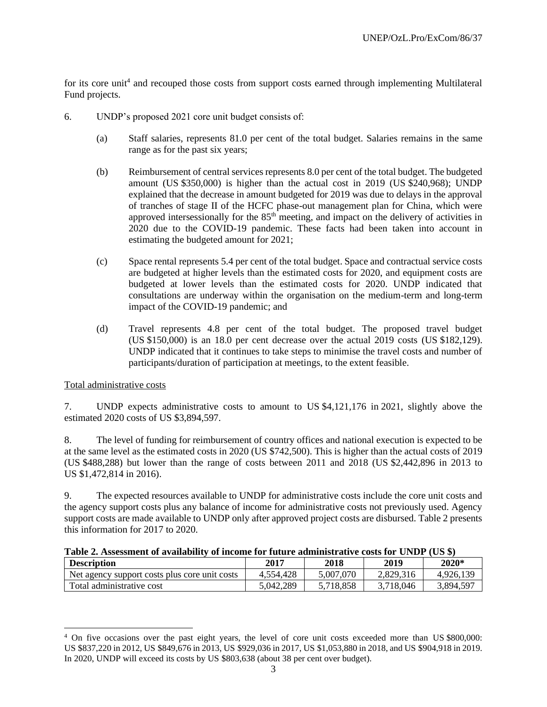for its core unit<sup>4</sup> and recouped those costs from support costs earned through implementing Multilateral Fund projects.

- 6. UNDP's proposed 2021 core unit budget consists of:
	- (a) Staff salaries, represents 81.0 per cent of the total budget. Salaries remains in the same range as for the past six years;
	- (b) Reimbursement of central services represents 8.0 per cent of the total budget. The budgeted amount (US \$350,000) is higher than the actual cost in 2019 (US \$240,968); UNDP explained that the decrease in amount budgeted for 2019 was due to delays in the approval of tranches of stage II of the HCFC phase-out management plan for China, which were approved intersessionally for the  $85<sup>th</sup>$  meeting, and impact on the delivery of activities in 2020 due to the COVID-19 pandemic. These facts had been taken into account in estimating the budgeted amount for 2021;
	- (c) Space rental represents 5.4 per cent of the total budget. Space and contractual service costs are budgeted at higher levels than the estimated costs for 2020, and equipment costs are budgeted at lower levels than the estimated costs for 2020. UNDP indicated that consultations are underway within the organisation on the medium-term and long-term impact of the COVID-19 pandemic; and
	- (d) Travel represents 4.8 per cent of the total budget. The proposed travel budget (US \$150,000) is an 18.0 per cent decrease over the actual 2019 costs (US \$182,129). UNDP indicated that it continues to take steps to minimise the travel costs and number of participants/duration of participation at meetings, to the extent feasible.

## Total administrative costs

7. UNDP expects administrative costs to amount to US \$4,121,176 in 2021, slightly above the estimated 2020 costs of US \$3,894,597.

8. The level of funding for reimbursement of country offices and national execution is expected to be at the same level as the estimated costs in 2020 (US \$742,500). This is higher than the actual costs of 2019 (US \$488,288) but lower than the range of costs between 2011 and 2018 (US \$2,442,896 in 2013 to US \$1,472,814 in 2016).

9. The expected resources available to UNDP for administrative costs include the core unit costs and the agency support costs plus any balance of income for administrative costs not previously used. Agency support costs are made available to UNDP only after approved project costs are disbursed. Table 2 presents this information for 2017 to 2020.

| Table 2. Assessment of availability of income for future administrative costs for UNDP (US \$) |  |  |  |  |  |  |
|------------------------------------------------------------------------------------------------|--|--|--|--|--|--|
|------------------------------------------------------------------------------------------------|--|--|--|--|--|--|

| <b>Description</b>                            | 2017      | 2018      | 2019      | $2020*$   |
|-----------------------------------------------|-----------|-----------|-----------|-----------|
| Net agency support costs plus core unit costs | 4.554.428 | 5.007.070 | 2.829.316 | 4.926.139 |
| Total administrative cost                     | 5.042.289 | 5.718.858 | 3.718.046 | 3,894,597 |

<sup>&</sup>lt;sup>4</sup> On five occasions over the past eight years, the level of core unit costs exceeded more than US \$800,000: US \$837,220 in 2012, US \$849,676 in 2013, US \$929,036 in 2017, US \$1,053,880 in 2018, and US \$904,918 in 2019. In 2020, UNDP will exceed its costs by US \$803,638 (about 38 per cent over budget).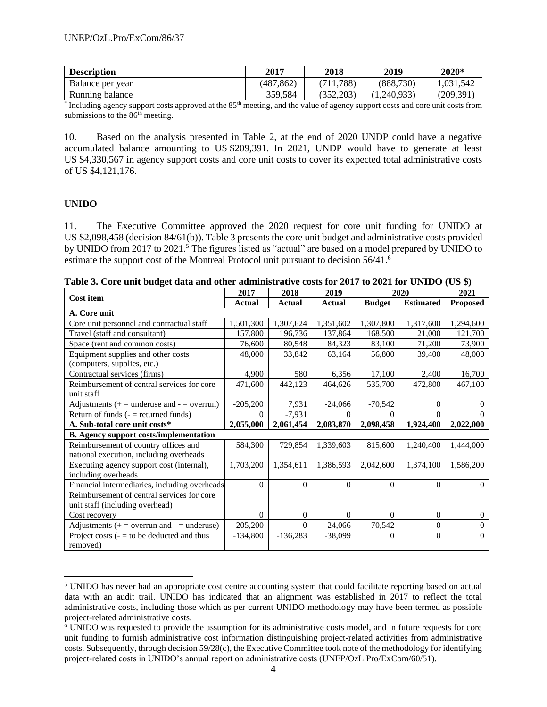| <b>Description</b> | 2017          | <b>2018</b> | 2019        | 2020*      |
|--------------------|---------------|-------------|-------------|------------|
| Balance per year   | '.862<br>487، | .788)       | (888, 730)  | 1.031.542  |
| Running balance    | 359,584       | 352,203     | (1,240,933) | (209, 391) |

<sup>\*</sup> Including agency support costs approved at the 85<sup>th</sup> meeting, and the value of agency support costs and core unit costs from submissions to the 86<sup>th</sup> meeting.

10. Based on the analysis presented in Table 2, at the end of 2020 UNDP could have a negative accumulated balance amounting to US \$209,391. In 2021, UNDP would have to generate at least US \$4,330,567 in agency support costs and core unit costs to cover its expected total administrative costs of US \$4,121,176.

## **UNIDO**

11. The Executive Committee approved the 2020 request for core unit funding for UNIDO at US \$2,098,458 (decision 84/61(b)). Table 3 presents the core unit budget and administrative costs provided by UNIDO from 2017 to 2021.<sup>5</sup> The figures listed as "actual" are based on a model prepared by UNIDO to estimate the support cost of the Montreal Protocol unit pursuant to decision 56/41.<sup>6</sup>

|                                                 | 2017       | 2018           | 2019      |               | 2020             | 2021            |
|-------------------------------------------------|------------|----------------|-----------|---------------|------------------|-----------------|
| <b>Cost item</b>                                | Actual     | Actual         | Actual    | <b>Budget</b> | <b>Estimated</b> | <b>Proposed</b> |
| A. Core unit                                    |            |                |           |               |                  |                 |
| Core unit personnel and contractual staff       | 1,501,300  | 1,307,624      | 1,351,602 | 1,307,800     | 1,317,600        | 1,294,600       |
| Travel (staff and consultant)                   | 157,800    | 196,736        | 137,864   | 168,500       | 21,000           | 121,700         |
| Space (rent and common costs)                   | 76,600     | 80,548         | 84,323    | 83,100        | 71,200           | 73,900          |
| Equipment supplies and other costs              | 48,000     | 33,842         | 63,164    | 56,800        | 39,400           | 48,000          |
| (computers, supplies, etc.)                     |            |                |           |               |                  |                 |
| Contractual services (firms)                    | 4,900      | 580            | 6,356     | 17,100        | 2,400            | 16,700          |
| Reimbursement of central services for core      | 471,600    | 442,123        | 464,626   | 535,700       | 472,800          | 467,100         |
| unit staff                                      |            |                |           |               |                  |                 |
| Adjustments $(+)$ = underuse and $-$ = overrun) | $-205,200$ | 7,931          | $-24,066$ | $-70,542$     | $\overline{0}$   | $\Omega$        |
| Return of funds $($ – $=$ returned funds)       | $\Omega$   | $-7,931$       | 0         | $\Omega$      | $\theta$         | $\Omega$        |
| A. Sub-total core unit costs*                   | 2,055,000  | 2,061,454      | 2,083,870 | 2,098,458     | 1,924,400        | 2,022,000       |
| <b>B.</b> Agency support costs/implementation   |            |                |           |               |                  |                 |
| Reimbursement of country offices and            | 584,300    | 729,854        | 1,339,603 | 815,600       | 1,240,400        | 1,444,000       |
| national execution, including overheads         |            |                |           |               |                  |                 |
| Executing agency support cost (internal),       | 1,703,200  | 1,354,611      | 1,386,593 | 2,042,600     | 1,374,100        | 1,586,200       |
| including overheads                             |            |                |           |               |                  |                 |
| Financial intermediaries, including overheads   | $\Omega$   | $\Omega$       | $\Omega$  | $\theta$      | $\Omega$         | $\Omega$        |
| Reimbursement of central services for core      |            |                |           |               |                  |                 |
| unit staff (including overhead)                 |            |                |           |               |                  |                 |
| Cost recovery                                   | $\Omega$   | $\overline{0}$ | $\Omega$  | $\Omega$      | $\Omega$         | $\overline{0}$  |
| Adjustments $(+)$ = overrun and $-$ = underuse) | 205,200    | $\Omega$       | 24,066    | 70,542        | $\theta$         | $\mathbf{0}$    |
| Project costs $(-1)$ to be deducted and thus    | $-134,800$ | $-136,283$     | $-38,099$ | $\Omega$      | $\boldsymbol{0}$ | $\Omega$        |
| removed)                                        |            |                |           |               |                  |                 |

**Table 3. Core unit budget data and other administrative costs for 2017 to 2021 for UNIDO (US \$)**

<sup>5</sup> UNIDO has never had an appropriate cost centre accounting system that could facilitate reporting based on actual data with an audit trail. UNIDO has indicated that an alignment was established in 2017 to reflect the total administrative costs, including those which as per current UNIDO methodology may have been termed as possible project-related administrative costs.

<sup>&</sup>lt;sup>6</sup> UNIDO was requested to provide the assumption for its administrative costs model, and in future requests for core unit funding to furnish administrative cost information distinguishing project-related activities from administrative costs. Subsequently, through decision 59/28(c), the Executive Committee took note of the methodology for identifying project-related costs in UNIDO's annual report on administrative costs (UNEP/OzL.Pro/ExCom/60/51).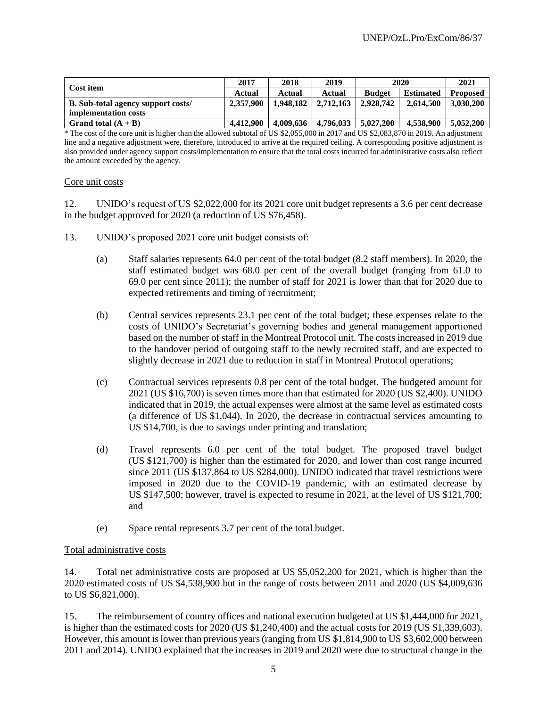| Cost item                                 | 2017      | 2018      | 2019      |               | 2020             | 2021            |
|-------------------------------------------|-----------|-----------|-----------|---------------|------------------|-----------------|
|                                           | Actual    | Actual    | Actual    | <b>Budget</b> | <b>Estimated</b> | <b>Proposed</b> |
| <b>B.</b> Sub-total agency support costs/ | 2,357,900 | 1,948,182 | 2.712.163 | 2.928.742     | 2.614.500        | 3.030.200       |
| implementation costs                      |           |           |           |               |                  |                 |
| Grand total $(A + B)$                     | 4.412.900 | 4.009.636 | 4,796,033 | 5.027.200     | 4.538,900        | 5.052,200       |

\* The cost of the core unit is higher than the allowed subtotal of US \$2,055,000 in 2017 and US \$2,083,870 in 2019. An adjustment line and a negative adjustment were, therefore, introduced to arrive at the required ceiling. A corresponding positive adjustment is also provided under agency support costs/implementation to ensure that the total costs incurred for administrative costs also reflect the amount exceeded by the agency.

#### Core unit costs

12. UNIDO's request of US \$2,022,000 for its 2021 core unit budget represents a 3.6 per cent decrease in the budget approved for 2020 (a reduction of US \$76,458).

- 13. UNIDO's proposed 2021 core unit budget consists of:
	- (a) Staff salaries represents 64.0 per cent of the total budget (8.2 staff members). In 2020, the staff estimated budget was 68.0 per cent of the overall budget (ranging from 61.0 to 69.0 per cent since 2011); the number of staff for 2021 is lower than that for 2020 due to expected retirements and timing of recruitment;
	- (b) Central services represents 23.1 per cent of the total budget; these expenses relate to the costs of UNIDO's Secretariat's governing bodies and general management apportioned based on the number of staff in the Montreal Protocol unit. The costs increased in 2019 due to the handover period of outgoing staff to the newly recruited staff, and are expected to slightly decrease in 2021 due to reduction in staff in Montreal Protocol operations;
	- (c) Contractual services represents 0.8 per cent of the total budget. The budgeted amount for 2021 (US \$16,700) is seven times more than that estimated for 2020 (US \$2,400). UNIDO indicated that in 2019, the actual expenses were almost at the same level as estimated costs (a difference of US \$1,044). In 2020, the decrease in contractual services amounting to US \$14,700, is due to savings under printing and translation;
	- (d) Travel represents 6.0 per cent of the total budget. The proposed travel budget (US \$121,700) is higher than the estimated for 2020, and lower than cost range incurred since 2011 (US \$137,864 to US \$284,000). UNIDO indicated that travel restrictions were imposed in 2020 due to the COVID-19 pandemic, with an estimated decrease by US \$147,500; however, travel is expected to resume in 2021, at the level of US \$121,700; and
	- (e) Space rental represents 3.7 per cent of the total budget.

## Total administrative costs

14. Total net administrative costs are proposed at US \$5,052,200 for 2021, which is higher than the 2020 estimated costs of US \$4,538,900 but in the range of costs between 2011 and 2020 (US \$4,009,636 to US \$6,821,000).

15. The reimbursement of country offices and national execution budgeted at US \$1,444,000 for 2021, is higher than the estimated costs for 2020 (US \$1,240,400) and the actual costs for 2019 (US \$1,339,603). However, this amount is lower than previous years (ranging from US \$1,814,900 to US \$3,602,000 between 2011 and 2014). UNIDO explained that the increases in 2019 and 2020 were due to structural change in the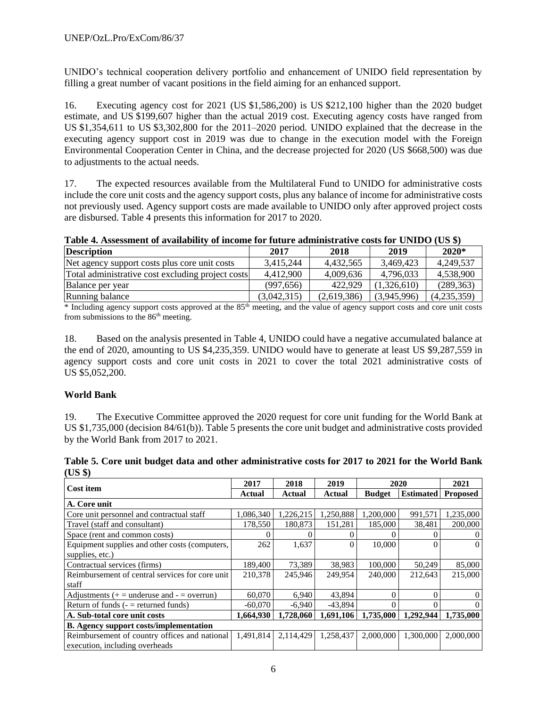UNIDO's technical cooperation delivery portfolio and enhancement of UNIDO field representation by filling a great number of vacant positions in the field aiming for an enhanced support.

16. Executing agency cost for 2021 (US \$1,586,200) is US \$212,100 higher than the 2020 budget estimate, and US \$199,607 higher than the actual 2019 cost. Executing agency costs have ranged from US \$1,354,611 to US \$3,302,800 for the 2011–2020 period. UNIDO explained that the decrease in the executing agency support cost in 2019 was due to change in the execution model with the Foreign Environmental Cooperation Center in China, and the decrease projected for 2020 (US \$668,500) was due to adjustments to the actual needs.

17. The expected resources available from the Multilateral Fund to UNIDO for administrative costs include the core unit costs and the agency support costs, plus any balance of income for administrative costs not previously used. Agency support costs are made available to UNIDO only after approved project costs are disbursed. Table 4 presents this information for 2017 to 2020.

| Table 4. Assessment of availability of income for future administrative costs for UNIDO (US \$) |
|-------------------------------------------------------------------------------------------------|
|-------------------------------------------------------------------------------------------------|

| <b>Description</b>                                | 2017        | 2018        | 2019        | $2020*$     |
|---------------------------------------------------|-------------|-------------|-------------|-------------|
| Net agency support costs plus core unit costs     | 3.415.244   | 4.432.565   | 3.469.423   | 4,249,537   |
| Total administrative cost excluding project costs | 4,412,900   | 4,009,636   | 4,796,033   | 4,538,900   |
| Balance per year                                  | (997.656)   | 422.929     | (1.326.610) | (289, 363)  |
| Running balance                                   | (3.042.315) | (2,619,386) | (3,945,996) | (4,235,359) |

\* Including agency support costs approved at the 85th meeting, and the value of agency support costs and core unit costs from submissions to the  $86<sup>th</sup>$  meeting.

18. Based on the analysis presented in Table 4, UNIDO could have a negative accumulated balance at the end of 2020, amounting to US \$4,235,359. UNIDO would have to generate at least US \$9,287,559 in agency support costs and core unit costs in 2021 to cover the total 2021 administrative costs of US \$5,052,200.

## **World Bank**

19. The Executive Committee approved the 2020 request for core unit funding for the World Bank at US \$1,735,000 (decision 84/61(b)). Table 5 presents the core unit budget and administrative costs provided by the World Bank from 2017 to 2021.

| ויט טש                                          |           |           |           |               |                  |                 |
|-------------------------------------------------|-----------|-----------|-----------|---------------|------------------|-----------------|
|                                                 | 2017      | 2018      | 2019      |               | 2020             | 2021            |
| <b>Cost item</b>                                | Actual    | Actual    | Actual    | <b>Budget</b> | <b>Estimated</b> | <b>Proposed</b> |
| A. Core unit                                    |           |           |           |               |                  |                 |
| Core unit personnel and contractual staff       | 1,086,340 | 1,226,215 | 1,250,888 | 1,200,000     | 991,571          | 1,235,000       |
| Travel (staff and consultant)                   | 178,550   | 180.873   | 151,281   | 185,000       | 38,481           | 200,000         |
| Space (rent and common costs)                   |           |           |           |               |                  | $\theta$        |
| Equipment supplies and other costs (computers,  | 262       | 1,637     | 0         | 10,000        | $\Omega$         | $\Omega$        |
| supplies, etc.)                                 |           |           |           |               |                  |                 |
| Contractual services (firms)                    | 189,400   | 73,389    | 38,983    | 100,000       | 50,249           | 85,000          |
| Reimbursement of central services for core unit | 210,378   | 245,946   | 249.954   | 240,000       | 212.643          | 215,000         |
| staff                                           |           |           |           |               |                  |                 |
| Adjustments ( $+$ = underuse and - = overrun)   | 60,070    | 6,940     | 43,894    | 0             | $\Omega$         | $\Omega$        |
| Return of funds $($ – $=$ returned funds)       | $-60,070$ | $-6,940$  | $-43,894$ | 0             | $\Omega$         | 0               |
| A. Sub-total core unit costs                    | 1,664,930 | 1.728.060 | 1,691,106 | 1,735,000     | 1,292,944        | 1,735,000       |
| <b>B.</b> Agency support costs/implementation   |           |           |           |               |                  |                 |
| Reimbursement of country offices and national   | 1,491,814 | 2,114,429 | 1,258,437 | 2,000,000     | 1,300,000        | 2,000,000       |
| execution, including overheads                  |           |           |           |               |                  |                 |

|         | Table 5. Core unit budget data and other administrative costs for 2017 to 2021 for the World Bank |  |  |  |
|---------|---------------------------------------------------------------------------------------------------|--|--|--|
| (US \$) |                                                                                                   |  |  |  |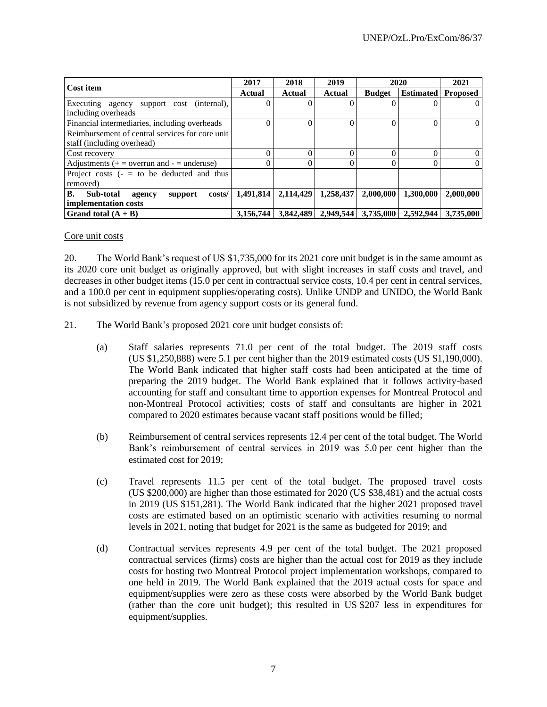| Cost item                                       | 2017      | 2018      | 2019      | 2020          |                  | 2021            |
|-------------------------------------------------|-----------|-----------|-----------|---------------|------------------|-----------------|
|                                                 | Actual    | Actual    | Actual    | <b>Budget</b> | <b>Estimated</b> | <b>Proposed</b> |
| Executing agency<br>support cost (internal),    |           |           |           |               | $\theta$         | 0               |
| including overheads                             |           |           |           |               |                  |                 |
| Financial intermediaries, including overheads   |           |           |           |               | 0                |                 |
| Reimbursement of central services for core unit |           |           |           |               |                  |                 |
| staff (including overhead)                      |           |           |           |               |                  |                 |
| Cost recovery                                   |           |           |           |               | 0                |                 |
| Adjustments $(+)$ = overrun and $-$ = underuse) |           |           |           |               | 0                | 0               |
| Project costs $(- = to be deducted and thus)$   |           |           |           |               |                  |                 |
| removed)                                        |           |           |           |               |                  |                 |
| В.<br>Sub-total<br>costs/<br>support<br>agency  | 1,491,814 | 2,114,429 | 1,258,437 | 2,000,000     | 1,300,000        | 2,000,000       |
| implementation costs                            |           |           |           |               |                  |                 |
| Grand total $(A + B)$                           | 3.156.744 | 3.842.489 | 2,949,544 | 3,735,000     | 2.592.944        | 3.735,000       |

#### Core unit costs

20. The World Bank's request of US \$1,735,000 for its 2021 core unit budget is in the same amount as its 2020 core unit budget as originally approved, but with slight increases in staff costs and travel, and decreases in other budget items (15.0 per cent in contractual service costs, 10.4 per cent in central services, and a 100.0 per cent in equipment supplies/operating costs). Unlike UNDP and UNIDO, the World Bank is not subsidized by revenue from agency support costs or its general fund.

- 21. The World Bank's proposed 2021 core unit budget consists of:
	- (a) Staff salaries represents 71.0 per cent of the total budget. The 2019 staff costs (US \$1,250,888) were 5.1 per cent higher than the 2019 estimated costs (US \$1,190,000). The World Bank indicated that higher staff costs had been anticipated at the time of preparing the 2019 budget. The World Bank explained that it follows activity-based accounting for staff and consultant time to apportion expenses for Montreal Protocol and non-Montreal Protocol activities; costs of staff and consultants are higher in 2021 compared to 2020 estimates because vacant staff positions would be filled;
	- (b) Reimbursement of central services represents 12.4 per cent of the total budget. The World Bank's reimbursement of central services in 2019 was 5.0 per cent higher than the estimated cost for 2019;
	- (c) Travel represents 11.5 per cent of the total budget. The proposed travel costs (US \$200,000) are higher than those estimated for 2020 (US \$38,481) and the actual costs in 2019 (US \$151,281). The World Bank indicated that the higher 2021 proposed travel costs are estimated based on an optimistic scenario with activities resuming to normal levels in 2021, noting that budget for 2021 is the same as budgeted for 2019; and
	- (d) Contractual services represents 4.9 per cent of the total budget. The 2021 proposed contractual services (firms) costs are higher than the actual cost for 2019 as they include costs for hosting two Montreal Protocol project implementation workshops, compared to one held in 2019. The World Bank explained that the 2019 actual costs for space and equipment/supplies were zero as these costs were absorbed by the World Bank budget (rather than the core unit budget); this resulted in US \$207 less in expenditures for equipment/supplies.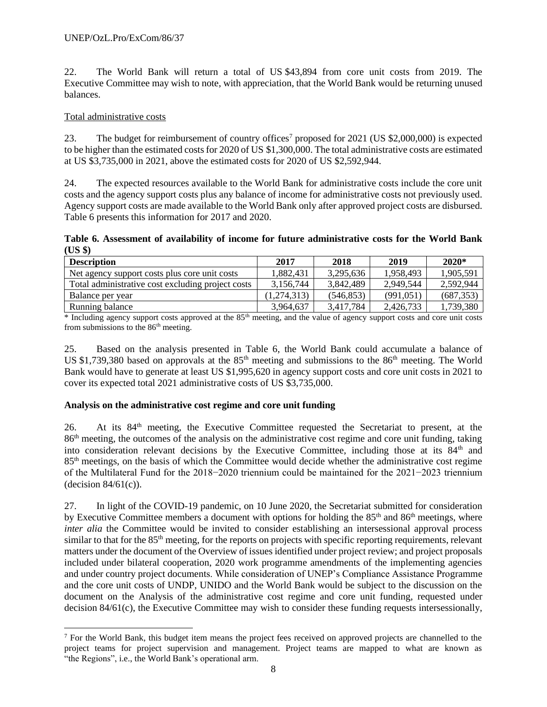22. The World Bank will return a total of US \$43,894 from core unit costs from 2019. The Executive Committee may wish to note, with appreciation, that the World Bank would be returning unused balances.

## Total administrative costs

23. The budget for reimbursement of country offices<sup>7</sup> proposed for 2021 (US \$2,000,000) is expected to be higher than the estimated costs for 2020 of US \$1,300,000. The total administrative costs are estimated at US \$3,735,000 in 2021, above the estimated costs for 2020 of US \$2,592,944.

24. The expected resources available to the World Bank for administrative costs include the core unit costs and the agency support costs plus any balance of income for administrative costs not previously used. Agency support costs are made available to the World Bank only after approved project costs are disbursed. Table 6 presents this information for 2017 and 2020.

**Table 6. Assessment of availability of income for future administrative costs for the World Bank (US \$)**

| <b>Description</b>                                | 2017        | 2018       | 2019      | $2020*$    |
|---------------------------------------------------|-------------|------------|-----------|------------|
| Net agency support costs plus core unit costs     | 1.882.431   | 3,295,636  | 1.958.493 | 1,905,591  |
| Total administrative cost excluding project costs | 3,156,744   | 3,842,489  | 2,949,544 | 2,592,944  |
| Balance per year                                  | (1,274,313) | (546, 853) | (991,051) | (687, 353) |
| Running balance                                   | 3,964,637   | 3.417.784  | 2,426,733 | 1,739,380  |

 $*$  Including agency support costs approved at the  $85<sup>th</sup>$  meeting, and the value of agency support costs and core unit costs from submissions to the 86<sup>th</sup> meeting.

25. Based on the analysis presented in Table 6, the World Bank could accumulate a balance of US \$1,739,380 based on approvals at the  $85<sup>th</sup>$  meeting and submissions to the  $86<sup>th</sup>$  meeting. The World Bank would have to generate at least US \$1,995,620 in agency support costs and core unit costs in 2021 to cover its expected total 2021 administrative costs of US \$3,735,000.

## **Analysis on the administrative cost regime and core unit funding**

26. At its 84<sup>th</sup> meeting, the Executive Committee requested the Secretariat to present, at the 86th meeting, the outcomes of the analysis on the administrative cost regime and core unit funding, taking into consideration relevant decisions by the Executive Committee, including those at its  $84<sup>th</sup>$  and 85th meetings, on the basis of which the Committee would decide whether the administrative cost regime of the Multilateral Fund for the 2018−2020 triennium could be maintained for the 2021−2023 triennium  $(decision 84/61(c))$ .

27. In light of the COVID-19 pandemic, on 10 June 2020, the Secretariat submitted for consideration by Executive Committee members a document with options for holding the  $85<sup>th</sup>$  and  $86<sup>th</sup>$  meetings, where *inter alia* the Committee would be invited to consider establishing an intersessional approval process similar to that for the 85<sup>th</sup> meeting, for the reports on projects with specific reporting requirements, relevant matters under the document of the Overview of issues identified under project review; and project proposals included under bilateral cooperation, 2020 work programme amendments of the implementing agencies and under country project documents. While consideration of UNEP's Compliance Assistance Programme and the core unit costs of UNDP, UNIDO and the World Bank would be subject to the discussion on the document on the Analysis of the administrative cost regime and core unit funding, requested under decision 84/61(c), the Executive Committee may wish to consider these funding requests intersessionally,

 $<sup>7</sup>$  For the World Bank, this budget item means the project fees received on approved projects are channelled to the</sup> project teams for project supervision and management. Project teams are mapped to what are known as "the Regions", i.e., the World Bank's operational arm.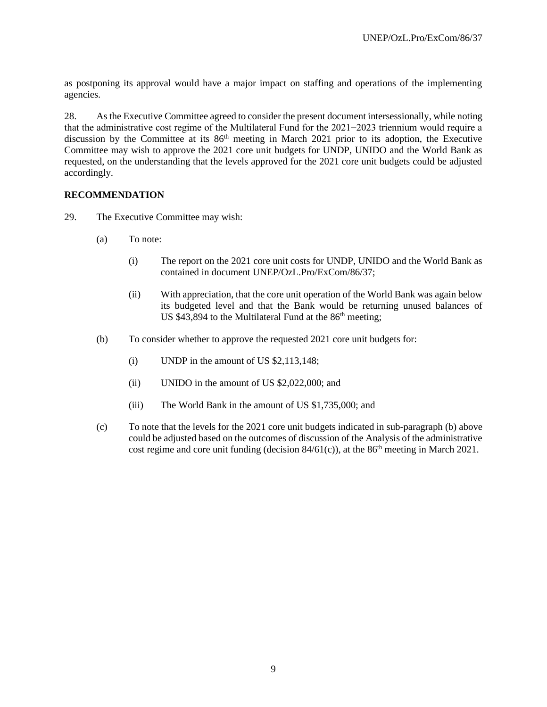as postponing its approval would have a major impact on staffing and operations of the implementing agencies.

28. As the Executive Committee agreed to consider the present document intersessionally, while noting that the administrative cost regime of the Multilateral Fund for the 2021−2023 triennium would require a discussion by the Committee at its  $86<sup>th</sup>$  meeting in March 2021 prior to its adoption, the Executive Committee may wish to approve the 2021 core unit budgets for UNDP, UNIDO and the World Bank as requested, on the understanding that the levels approved for the 2021 core unit budgets could be adjusted accordingly.

## **RECOMMENDATION**

- 29. The Executive Committee may wish:
	- (a) To note:
		- (i) The report on the 2021 core unit costs for UNDP, UNIDO and the World Bank as contained in document UNEP/OzL.Pro/ExCom/86/37;
		- (ii) With appreciation, that the core unit operation of the World Bank was again below its budgeted level and that the Bank would be returning unused balances of US \$43,894 to the Multilateral Fund at the  $86<sup>th</sup>$  meeting;
	- (b) To consider whether to approve the requested 2021 core unit budgets for:
		- (i) UNDP in the amount of US \$2,113,148;
		- (ii) UNIDO in the amount of US \$2,022,000; and
		- (iii) The World Bank in the amount of US \$1,735,000; and
	- (c) To note that the levels for the 2021 core unit budgets indicated in sub-paragraph (b) above could be adjusted based on the outcomes of discussion of the Analysis of the administrative cost regime and core unit funding (decision  $84/61(c)$ ), at the  $86<sup>th</sup>$  meeting in March 2021.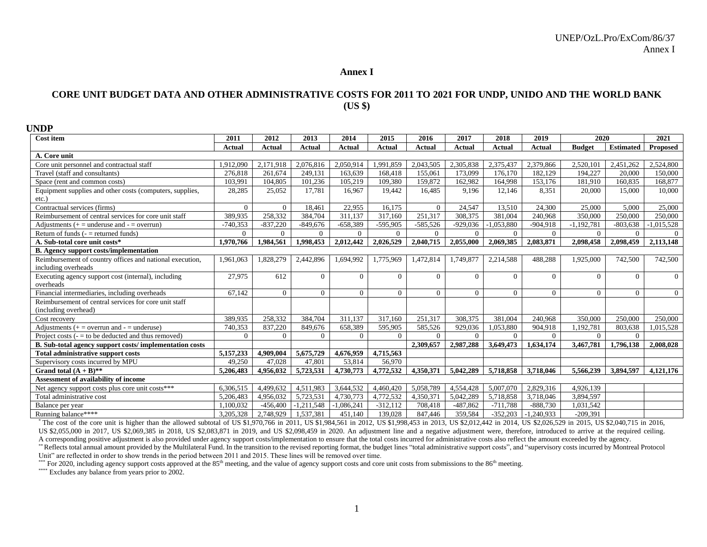#### **Annex I**

## **CORE UNIT BUDGET DATA AND OTHER ADMINISTRATIVE COSTS FOR 2011 TO 2021 FOR UNDP, UNIDO AND THE WORLD BANK (US \$)**

| <b>UNDP</b>                                                                     |                |                |                |               |                |                |            |                |                |               |                  |                |
|---------------------------------------------------------------------------------|----------------|----------------|----------------|---------------|----------------|----------------|------------|----------------|----------------|---------------|------------------|----------------|
| <b>Cost item</b>                                                                | 2011           | 2012           | 2013           | 2014          | 2015           | 2016           | 2017       | 2018           | 2019           | 2020          |                  | 2021           |
|                                                                                 | Actual         | Actual         | Actual         | <b>Actual</b> | Actual         | Actual         | Actual     | Actual         | Actual         | <b>Budget</b> | <b>Estimated</b> | Proposed       |
| A. Core unit                                                                    |                |                |                |               |                |                |            |                |                |               |                  |                |
| Core unit personnel and contractual staff                                       | 1,912,090      | 2,171,918      | 2,076,816      | 2,050,914     | 1,991,859      | 2,043,505      | 2,305,838  | 2,375,437      | 2,379,866      | 2,520,101     | 2,451,262        | 2,524,800      |
| Travel (staff and consultants)                                                  | 276.818        | 261,674        | 249,131        | 163,639       | 168,418        | 155,061        | 173,099    | 176.170        | 182,129        | 194.227       | 20,000           | 150,000        |
| Space (rent and common costs)                                                   | 103,991        | 104.805        | 101,236        | 105,219       | 109,380        | 159,872        | 162.982    | 164.998        | 153,176        | 181.910       | 160,835          | 168,877        |
| Equipment supplies and other costs (computers, supplies,<br>$etc.$ )            | 28,285         | 25,052         | 17.781         | 16.967        | 19.442         | 16.485         | 9,196      | 12.146         | 8.351          | 20,000        | 15,000           | 10,000         |
| Contractual services (firms)                                                    | $\theta$       | $\Omega$       | 18,461         | 22,955        | 16,175         | $\Omega$       | 24,547     | 13,510         | 24,300         | 25,000        | 5,000            | 25,000         |
| Reimbursement of central services for core unit staff                           | 389,935        | 258,332        | 384,704        | 311,137       | 317,160        | 251,317        | 308,375    | 381,004        | 240,968        | 350,000       | 250,000          | 250,000        |
| Adjustments $(+)$ = underuse and $-$ = overrun)                                 | $-740,353$     | $-837,220$     | $-849,676$     | $-658,389$    | $-595,905$     | $-585,526$     | $-929,036$ | $-1,053,880$   | $-904,918$     | $-1,192,781$  | $-803,638$       | $-1,015,528$   |
| Return of funds $($ – $=$ returned funds)                                       | $\overline{0}$ | $\overline{0}$ | $\overline{0}$ | $\Omega$      | $\overline{0}$ | $\overline{0}$ | $\Omega$   | $\overline{0}$ | $\overline{0}$ | $\Omega$      | $\Omega$         | $\Omega$       |
| A. Sub-total core unit costs*                                                   | 1,970,766      | 1,984,561      | 1,998,453      | 2,012,442     | 2,026,529      | 2,040,715      | 2,055,000  | 2,069,385      | 2,083,871      | 2,098,458     | 2,098,459        | 2,113,148      |
| <b>B.</b> Agency support costs/implementation                                   |                |                |                |               |                |                |            |                |                |               |                  |                |
| Reimbursement of country offices and national execution,<br>including overheads | 1,961,063      | 1,828,279      | 2,442,896      | 1,694,992     | 1,775,969      | 1,472,814      | 1,749,877  | 2,214,588      | 488,288        | 1,925,000     | 742,500          | 742,500        |
| Executing agency support cost (internal), including<br>overheads                | 27,975         | 612            | $\Omega$       | $\Omega$      | $\Omega$       | $\Omega$       | $\theta$   | $\Omega$       | $\theta$       | $\Omega$      | $\Omega$         | $\Omega$       |
| Financial intermediaries, including overheads                                   | 67,142         | $\Omega$       | $\Omega$       | $\Omega$      | $\overline{0}$ | $\Omega$       | $\theta$   | $\Omega$       | $\Omega$       | $\Omega$      | $\Omega$         | $\overline{0}$ |
| Reimbursement of central services for core unit staff<br>(including overhead)   |                |                |                |               |                |                |            |                |                |               |                  |                |
| Cost recovery                                                                   | 389.935        | 258,332        | 384,704        | 311,137       | 317,160        | 251.317        | 308,375    | 381.004        | 240.968        | 350,000       | 250,000          | 250,000        |
| Adjustments $(+)$ = overrun and $-$ = underuse)                                 | 740,353        | 837,220        | 849,676        | 658,389       | 595,905        | 585,526        | 929,036    | 1,053,880      | 904,918        | 1,192,781     | 803,638          | 1,015,528      |
| Project costs $(-1)$ to be deducted and thus removed)                           | $\Omega$       | $\Omega$       | $\Omega$       | $\Omega$      | $\overline{0}$ | $\Omega$       | $\Omega$   | $\theta$       | $\Omega$       | $\Omega$      | $\Omega$         |                |
| B. Sub-total agency support costs/implementation costs                          |                |                |                |               |                | 2,309,657      | 2,987,288  | 3,649,473      | 1.634.174      | 3,467,781     | 1,796,138        | 2,008,028      |
| <b>Total administrative support costs</b>                                       | 5,157,233      | 4,909,004      | 5,675,729      | 4,676,959     | 4,715,563      |                |            |                |                |               |                  |                |
| Supervisory costs incurred by MPU                                               | 49,250         | 47.028         | 47,801         | 53,814        | 56,970         |                |            |                |                |               |                  |                |
| Grand total $(A + B)$ **                                                        | 5.206.483      | 4.956.032      | 5,723,531      | 4,730,773     | 4,772,532      | 4.350.371      | 5.042.289  | 5.718.858      | 3.718.046      | 5,566,239     | 3.894.597        | 4,121,176      |
| Assessment of availability of income                                            |                |                |                |               |                |                |            |                |                |               |                  |                |
| Net agency support costs plus core unit costs***                                | 6.306.515      | 4,499,632      | 4,511,983      | 3,644,532     | 4,460,420      | 5,058,789      | 4,554,428  | 5,007,070      | 2,829,316      | 4.926.139     |                  |                |
| Total administrative cost                                                       | 5,206,483      | 4.956.032      | 5,723,531      | 4,730,773     | 4,772,532      | 4.350.371      | 5,042,289  | 5,718,858      | 3,718,046      | 3.894.597     |                  |                |
| Balance per year                                                                | 1.100.032      | $-456,400$     | $-1,211,548$   | $-1,086,241$  | $-312,112$     | 708,418        | $-487,862$ | $-711,788$     | $-888,730$     | 1,031,542     |                  |                |
| Running balance****                                                             | 3,205,328      | 2,748,929      | 1,537,381      | 451,140       | 139,028        | 847,446        | 359,584    | $-352,203$     | $-1,240,933$   | $-209.391$    |                  |                |

\* The cost of the core unit is higher than the allowed subtotal of US \$1,970,766 in 2011, US \$1,984,561 in 2012, US \$1,998,453 in 2013, US \$2,012,442 in 2014, US \$2,026,529 in 2015, US \$2,040,715 in 2016, US \$2,055,000 in 2017, US \$2,069,385 in 2018, US \$2,083,871 in 2019, and US \$2,098,459 in 2020. An adjustment line and a negative adjustment were, therefore, introduced to arrive at the required ceiling. A corresponding positive adjustment is also provided under agency support costs/implementation to ensure that the total costs incurred for administrative costs also reflect the amount exceeded by the agency.

\*\*Reflects total annual amount provided by the Multilateral Fund. In the transition to the revised reporting format, the budget lines "total administrative support costs", and "supervisory costs incurred by Montreal Protocol Unit" are reflected in order to show trends in the period between 2011 and 2015. These lines will be removed over time.

\*\*\* For 2020, including agency support costs approved at the 85<sup>th</sup> meeting, and the value of agency support costs and core unit costs from submissions to the 86<sup>th</sup> meeting.

\*\*\*\*\* Excludes any balance from years prior to 2002.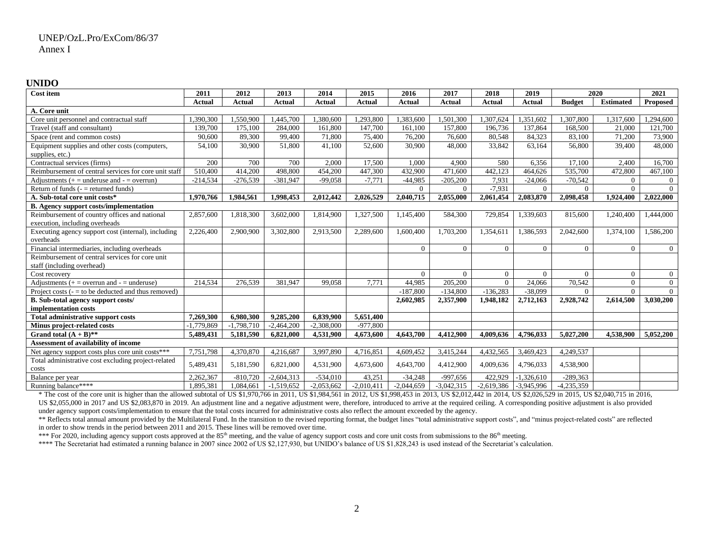#### **UNIDO**

| <b>Cost item</b>                                      | 2011          | 2012         | 2013          | 2014          | 2015         | 2016           | 2017           | 2018           | 2019           | 2020           |                  | 2021            |
|-------------------------------------------------------|---------------|--------------|---------------|---------------|--------------|----------------|----------------|----------------|----------------|----------------|------------------|-----------------|
|                                                       | <b>Actual</b> | Actual       | <b>Actual</b> | <b>Actual</b> | Actual       | <b>Actual</b>  | <b>Actual</b>  | Actual         | <b>Actual</b>  | <b>Budget</b>  | <b>Estimated</b> | <b>Proposed</b> |
| A. Core unit                                          |               |              |               |               |              |                |                |                |                |                |                  |                 |
| Core unit personnel and contractual staff             | 1,390,300     | 1,550,900    | ,445,700      | 1,380,600     | 1,293,800    | ,383,600       | 1,501,300      | ,307,624       | ,351,602       | ,307,800       | .317,600         | 1,294,600       |
| Travel (staff and consultant)                         | 139,700       | 175,100      | 284,000       | 161,800       | 147,700      | 161,100        | 157,800        | 196,736        | 137,864        | 168,500        | 21,000           | 121,700         |
| Space (rent and common costs)                         | 90.600        | 89.300       | 99,400        | 71,800        | 75,400       | 76,200         | 76,600         | 80,548         | 84,323         | 83,100         | 71,200           | 73,900          |
| Equipment supplies and other costs (computers,        | 54,100        | 30.900       | 51,800        | 41,100        | 52,600       | 30,900         | 48,000         | 33,842         | 63,164         | 56,800         | 39,400           | 48,000          |
| supplies, etc.)                                       |               |              |               |               |              |                |                |                |                |                |                  |                 |
| Contractual services (firms)                          | 200           | 700          | 700           | 2,000         | 17,500       | 1,000          | 4,900          | 580            | 6,356          | 17,100         | 2,400            | 16,700          |
| Reimbursement of central services for core unit staff | 510,400       | 414,200      | 498,800       | 454,200       | 447,300      | 432,900        | 471,600        | 442,123        | 464,626        | 535,700        | 472,800          | 467,100         |
| Adjustments $(+)$ = underuse and $-$ = overrun)       | $-214,534$    | $-276,539$   | $-381,947$    | $-99,058$     | $-7,771$     | $-44,985$      | $-205,200$     | 7,931          | $-24,066$      | $-70,542$      | $\Omega$         | $\Omega$        |
| Return of funds $($ –  = returned funds)              |               |              |               |               |              | $\overline{0}$ | $\overline{0}$ | $-7,931$       | $\theta$       | $\Omega$       | $\Omega$         | $\Omega$        |
| A. Sub-total core unit costs*                         | 1.970.766     | 1,984,561    | 1,998,453     | 2,012,442     | 2,026,529    | 2,040,715      | 2,055,000      | 2,061,454      | 2,083,870      | 2,098,458      | 1,924,400        | 2,022,000       |
| <b>B.</b> Agency support costs/implementation         |               |              |               |               |              |                |                |                |                |                |                  |                 |
| Reimbursement of country offices and national         | 2,857,600     | 1,818,300    | 3,602,000     | 1,814,900     | 1,327,500    | 1,145,400      | 584,300        | 729,854        | 1,339,603      | 815,600        | 1,240,400        | 1,444,000       |
| execution, including overheads                        |               |              |               |               |              |                |                |                |                |                |                  |                 |
| Executing agency support cost (internal), including   | 2,226,400     | 2,900,900    | 3,302,800     | 2,913,500     | 2,289,600    | 1,600,400      | 1,703,200      | 1,354,611      | 1,386,593      | 2,042,600      | 1,374,100        | 1,586,200       |
| overheads                                             |               |              |               |               |              |                |                |                |                |                |                  |                 |
| Financial intermediaries, including overheads         |               |              |               |               |              | $\overline{0}$ | $\overline{0}$ | $\overline{0}$ | $\overline{0}$ | $\overline{0}$ | $\overline{0}$   | $\overline{0}$  |
| Reimbursement of central services for core unit       |               |              |               |               |              |                |                |                |                |                |                  |                 |
| staff (including overhead)                            |               |              |               |               |              |                |                |                |                |                |                  |                 |
| Cost recovery                                         |               |              |               |               |              | $\Omega$       | $\overline{0}$ | $\overline{0}$ | $\theta$       | $\overline{0}$ | $\mathbf{0}$     | $\overline{0}$  |
| Adjustments $(+)$ = overrun and $-$ = underuse)       | 214,534       | 276,539      | 381,947       | 99,058        | 7,771        | 44,985         | 205,200        | $\Omega$       | 24,066         | 70,542         | $\theta$         | $\mathbf{0}$    |
| Project costs $(-1)$ to be deducted and thus removed) |               |              |               |               |              | $-187,800$     | $-134,800$     | $-136,283$     | $-38,099$      | $\Omega$       | $\theta$         | $\theta$        |
| <b>B.</b> Sub-total agency support costs/             |               |              |               |               |              | 2,602,985      | 2,357,900      | 1,948,182      | 2,712,163      | 2,928,742      | 2,614,500        | 3,030,200       |
| implementation costs                                  |               |              |               |               |              |                |                |                |                |                |                  |                 |
| <b>Total administrative support costs</b>             | 7,269,300     | 6,980,300    | 9,285,200     | 6.839.900     | 5,651,400    |                |                |                |                |                |                  |                 |
| Minus project-related costs                           | -1,779,869    | $-1,798,710$ | $-2,464,200$  | $-2,308,000$  | $-977,800$   |                |                |                |                |                |                  |                 |
| Grand total $(A + B)$ **                              | 5,489,431     | 5,181,590    | 6,821,000     | 4,531,900     | 4,673,600    | 4,643,700      | 4,412,900      | 4,009,636      | 4,796,033      | 5,027,200      | 4,538,900        | 5,052,200       |
| Assessment of availability of income                  |               |              |               |               |              |                |                |                |                |                |                  |                 |
| Net agency support costs plus core unit costs***      | 7,751,798     | 4,370,870    | 4,216,687     | 3,997,890     | 4,716,851    | 4,609,452      | 3,415,244      | 4,432,565      | 3,469,423      | 4,249,537      |                  |                 |
| Total administrative cost excluding project-related   | 5,489,431     | 5,181,590    | 6,821,000     | 4,531,900     | 4,673,600    | 4,643,700      | 4,412,900      | 4,009,636      | 4,796,033      | 4,538,900      |                  |                 |
| costs                                                 |               |              |               |               |              |                |                |                |                |                |                  |                 |
| Balance per year                                      | 2,262,367     | $-810,720$   | $-2,604,313$  | $-534,010$    | 43,251       | $-34,248$      | $-997,656$     | 422,929        | $-1,326,610$   | $-289,363$     |                  |                 |
| Running balance****                                   | 1.895.381     | 1.084.661    | $-1,519,652$  | $-2.053.662$  | $-2.010.411$ | $-2.044.659$   | $-3.042.315$   | $-2,619,386$   | $-3.945.996$   | $-4,235,359$   |                  |                 |

\* The cost of the core unit is higher than the allowed subtotal of US \$1,970,766 in 2011, US \$1,984,561 in 2012, US \$1,998,453 in 2013, US \$2,012,442 in 2014, US \$2,026,529 in 2015, US \$2,040,715 in 2016, US \$2,055,000 in 2017 and US \$2,083,870 in 2019. An adjustment line and a negative adjustment were, therefore, introduced to arrive at the required ceiling. A corresponding positive adjustment is also provided under agency support costs/implementation to ensure that the total costs incurred for administrative costs also reflect the amount exceeded by the agency.

\*\* Reflects total annual amount provided by the Multilateral Fund. In the transition to the revised reporting format, the budget lines "total administrative support costs", and "minus project-related costs" are reflected in order to show trends in the period between 2011 and 2015. These lines will be removed over time.

\*\*\* For 2020, including agency support costs approved at the 85<sup>th</sup> meeting, and the value of agency support costs and core unit costs from submissions to the 86<sup>th</sup> meeting.

\*\*\*\* The Secretariat had estimated a running balance in 2007 since 2002 of US \$2,127,930, but UNIDO's balance of US \$1,828,243 is used instead of the Secretariat's calculation.